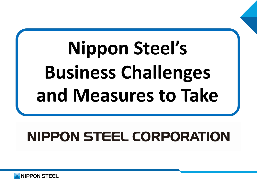# **Nippon Steel's Business Challenges and Measures to Take**

## **NIPPON STEEL CORPORATION**

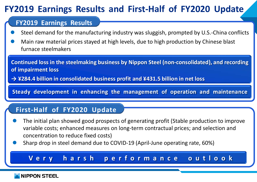#### **FY2019 Earnings Results and First-Half of FY2020 Update**

#### **FY2019 Earnings Results**

- Steel demand for the manufacturing industry was sluggish, prompted by U.S.-China conflicts
- Main raw material prices stayed at high levels, due to high production by Chinese blast furnace steelmakers

**Continued loss in the steelmaking business by Nippon Steel (non-consolidated), and recording of impairment loss**

**→ ¥284.4 billion in consolidated business profit and ¥431.5 billion in net loss**

**Steady development in enhancing the management of operation and maintenance**

#### **First-Half of FY2020 Update**

- The initial plan showed good prospects of generating profit (Stable production to improve variable costs; enhanced measures on long-term contractual prices; and selection and concentration to reduce fixed costs)
- Sharp drop in steel demand due to COVID-19 (April-June operating rate, 60%)

#### **Very harsh performance outlook**

#### **NIPPON STEEL**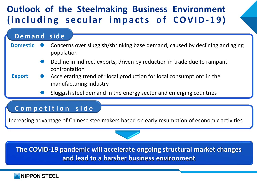### **Outlook of the Steelmaking Business Environment (including secular impacts o f COVID- 1 9)**

#### **Demand side**

- Concerns over sluggish/shrinking base demand, caused by declining and aging population **Domestic**
	- Decline in indirect exports, driven by reduction in trade due to rampant confrontation
- **Export** Accelerating trend of "local production for local consumption" in the manufacturing industry
	- Sluggish steel demand in the energy sector and emerging countries

#### **Competition side**

Increasing advantage of Chinese steelmakers based on early resumption of economic activities



**The COVID-19 pandemic will accelerate ongoing structural market changes and lead to a harsher business environment**

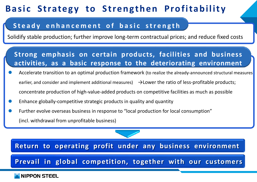### **Basic Strategy to Strengthen Profitability**

#### **Steady enhancement o f basic strength**

Solidify stable production; further improve long-term contractual prices; and reduce fixed costs

#### **Strong emphasis on certain products, facilities and business activities, as a basic response to the deteriorating environment**

- Accelerate transition to an optimal production framework (to realize the already-announced structural measures earlier, and consider and implement additional measures)  $\rightarrow$  Lower the ratio of less-profitable products; concentrate production of high-value-added products on competitive facilities as much as possible
- Enhance globally-competitive strategic products in quality and quantity
- Further evolve overseas business in response to "local production for local consumption" (incl. withdrawal from unprofitable business)

**Return to operating profit under any business environment**

**Prevail in global competition, together with our customers**

#### **NIPPON STEEL**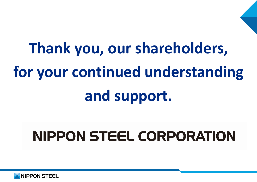# **Thank you, our shareholders, for your continued understanding and support.**

## **NIPPON STEEL CORPORATION**

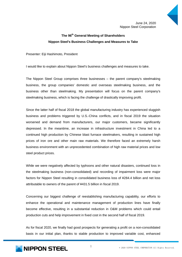#### **The 96th General Meeting of Shareholders Nippon Steel's Business Challenges and Measures to Take**

Presenter: Eiji Hashimoto, President

I would like to explain about Nippon Steel's business challenges and measures to take.

The Nippon Steel Group comprises three businesses – the parent company's steelmaking business, the group companies' domestic and overseas steelmaking business, and the business other than steelmaking. My presentation will focus on the parent company's steelmaking business, which is facing the challenge of drastically improving profit.

Since the latter half of fiscal 2018 the global manufacturing industry has experienced sluggish business and problems triggered by U.S.-China conflicts, and in fiscal 2019 the situation worsened and demand from manufacturers, our major customers, became significantly depressed. In the meantime, an increase in infrastructure investment in China led to a continued high production by Chinese blast furnace steelmakers, resulting in sustained high prices of iron ore and other main raw materials. We therefore faced an extremely harsh business environment with an unprecedented combination of high raw material prices and low steel product prices.

While we were negatively affected by typhoons and other natural disasters, continued loss in the steelmaking business (non-consolidated) and recording of impairment loss were major factors for Nippon Steel resulting in consolidated business loss of ¥284.4 billion and net loss attributable to owners of the parent of ¥431.5 billion in fiscal 2019.

Concerning our biggest challenge of reestablishing manufacturing capability, our efforts to enhance the operational and maintenance management of production lines have finally become effective, resulting in a substantial reduction in O&M problems which could entail production cuts and help improvement in fixed cost in the second half of fiscal 2019.

As for fiscal 2020, we finally had good prospects for generating a profit on a non-consolidated basis in our initial plan, thanks to stable production to improved variable cost, enhanced

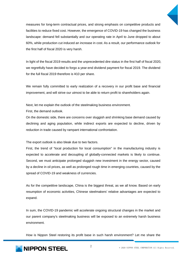

measures for long-term contractual prices, and strong emphasis on competitive products and facilities to reduce fixed cost. However, the emergence of COVID-19 has changed the business landscape: demand fell substantially and our operating rate in April to June dropped to about 60%, while production cut induced an increase in cost. As a result, our performance outlook for the first half of fiscal 2020 is very harsh.

In light of the fiscal 2019 results and the unprecedented dire status in the first half of fiscal 2020, we regretfully have decided to forgo a year-end dividend payment for fiscal 2019. The dividend for the full fiscal 2019 therefore is ¥10 per share.

We remain fully committed to early realization of a recovery in our profit base and financial improvement, and will strive our utmost to be able to return profit to shareholders again.

Next, let me explain the outlook of the steelmaking business environment.

First, the demand outlook.

On the domestic side, there are concerns over sluggish and shrinking base demand caused by declining and aging population, while indirect exports are expected to decline, driven by reduction in trade caused by rampant international confrontation.

The export outlook is also bleak due to two factors.

First, the trend of "local production for local consumption" in the manufacturing industry is expected to accelerate and decoupling of globally-connected markets is likely to continue. Second, we must anticipate prolonged sluggish new investment in the energy sector, caused by a decline in oil prices, as well as prolonged rough time in emerging countries, caused by the spread of COVID-19 and weakness of currencies.

As for the competitive landscape, China is the biggest threat, as we all know. Based on early resumption of economic activities, Chinese steelmakers' relative advantages are expected to expand.

In sum, the COVID-19 pandemic will accelerate ongoing structural changes in the market and our parent company's steelmaking business will be exposed to an extremely harsh business environment.

How is Nippon Steel restoring its profit base in such harsh environment? Let me share the